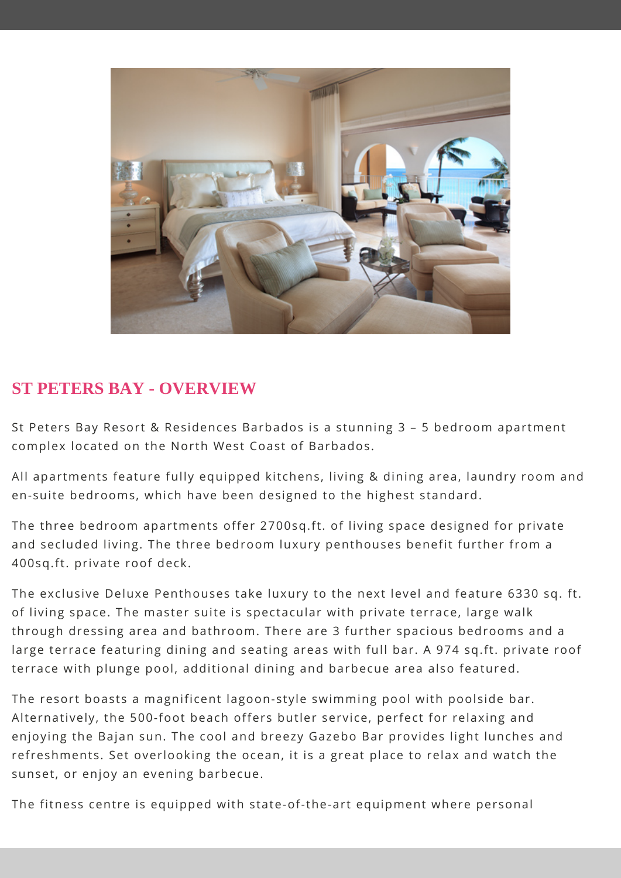

## **ST PETERS BAY - OVERVIEW**

St Peters Bay Resort & Residences Barbados is a stunning 3 – 5 bedroom apartment complex located on the North West Coast of Barbados.

All apartments feature fully equipped kitchens, living & dining area, laundry room and en-suite bedrooms, which have been designed to the highest standard.

The three bedroom apartments offer 2700sq.ft. of living space designed for private and secluded living. The three bedroom luxury penthouses benefit further from a 400sq.ft. private roof deck.

The exclusive Deluxe Penthouses take luxury to the next level and feature 6330 sq. ft. of living space. The master suite is spectacular with private terrace, large walk through dressing area and bathroom. There are 3 further spacious bedrooms and a large terrace featuring dining and seating areas with full bar. A 974 sq.ft. private roof terrace with plunge pool, additional dining and barbecue area also featured.

The resort boasts a magnificent lagoon-style swimming pool with poolside bar. Alternatively, the 500-foot beach offers butler service, perfect for relaxing and enjoying the Bajan sun. The cool and breezy Gazebo Bar provides light lunches and refreshments. Set overlooking the ocean, it is a great place to relax and watch the sunset, or enjoy an evening barbecue.

The fitness centre is equipped with state-of-the-art equipment where personal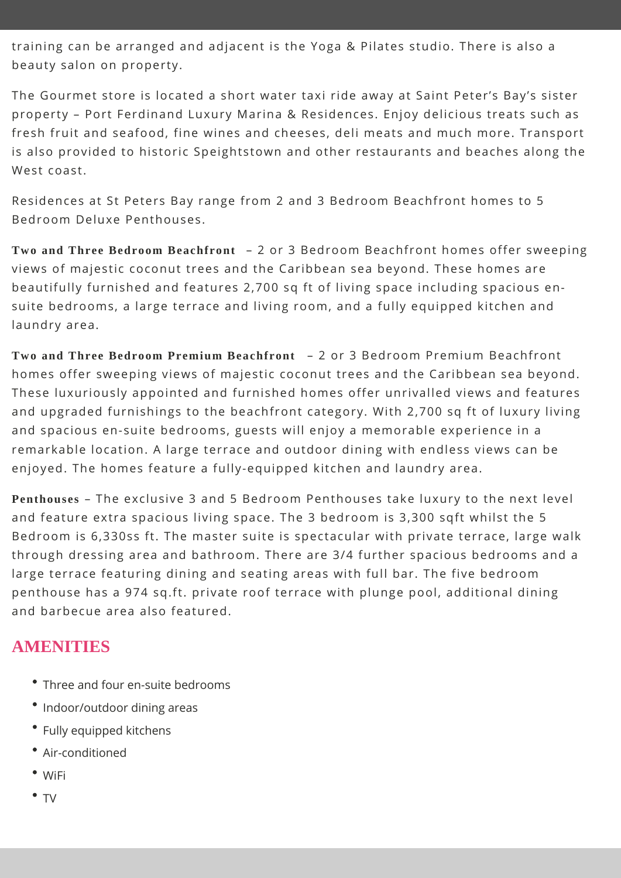training can be arranged and adjacent is the Yoga & Pilates studio. There is also a beauty salon on property.

The Gourmet store is located a short water taxi ride away at Saint Peter's Bay's sister property – Port Ferdinand Luxury Marina & Residences. Enjoy delicious treats such as fresh fruit and seafood, fine wines and cheeses, deli meats and much more. Transport is also provided to historic Speightstown and other restaurants and beaches along the West coast.

Residences at St Peters Bay range from 2 and 3 Bedroom Beachfront homes to 5 Bedroom Deluxe Penthouses.

**Two and Three Bedroom Beachfront** – 2 or 3 Bedroom Beachfront homes offer sweeping views of majestic coconut trees and the Caribbean sea beyond. These homes are beautifully furnished and features 2,700 sq ft of living space including spacious ensuite bedrooms, a large terrace and living room, and a fully equipped kitchen and laundry area.

**Two and Three Bedroom Premium Beachfront** – 2 or 3 Bedroom Premium Beachfront homes offer sweeping views of majestic coconut trees and the Caribbean sea beyond. These luxuriously appointed and furnished homes offer unrivalled views and features and upgraded furnishings to the beachfront category. With 2,700 sq ft of luxury living and spacious en-suite bedrooms, guests will enjoy a memorable experience in a remarkable location. A large terrace and outdoor dining with endless views can be enjoyed. The homes feature a fully-equipped kitchen and laundry area.

**Penthouses** – The exclusive 3 and 5 Bedroom Penthouses take luxury to the next level and feature extra spacious living space. The 3 bedroom is 3,300 sqft whilst the 5 Bedroom is 6,330ss ft. The master suite is spectacular with private terrace, large walk through dressing area and bathroom. There are 3/4 further spacious bedrooms and a large terrace featuring dining and seating areas with full bar. The five bedroom penthouse has a 974 sq.ft. private roof terrace with plunge pool, additional dining and barbecue area also featured.

### **AMENITIES**

- Three and four en-suite bedrooms
- Indoor/outdoor dining areas
- Fully equipped kitchens
- Air-conditioned
- WiFi
- TV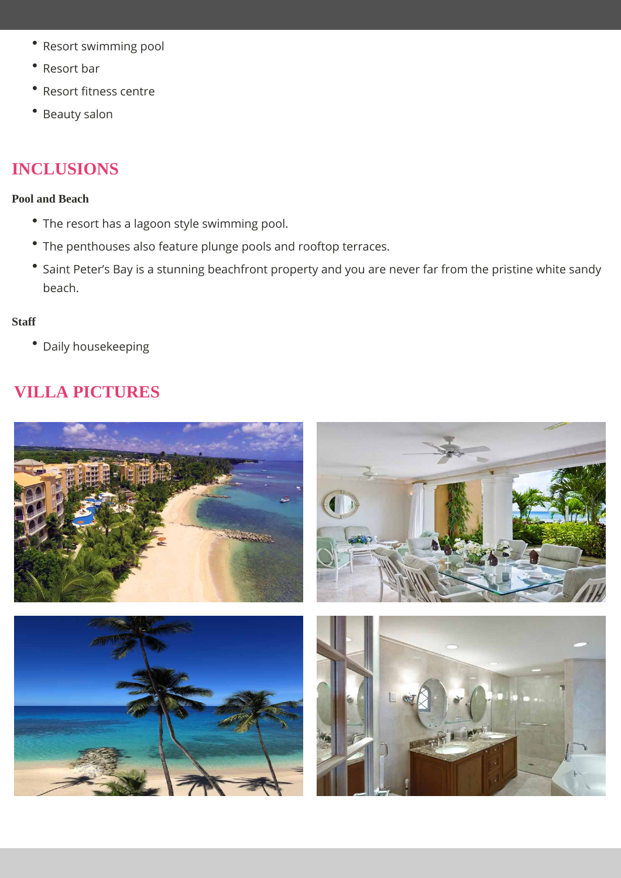- Resort swimming pool
- $\bullet$ Resort bar
- Resort fitness centre
- Beauty salon

## **INCLUSIONS**

#### **Pool and Beach**

- The resort has a lagoon style swimming pool.
- The penthouses also feature plunge pools and rooftop terraces.
- Saint Peter's Bay is a stunning beachfront property and you are never far from the pristine white sandy beach.

#### **Staff**

Daily housekeeping

# **VILLA PICTURES**